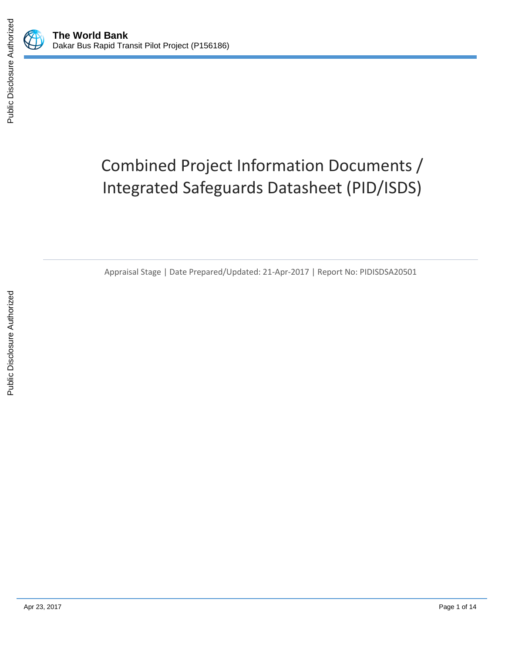

Public Disclosure Authorized

# Combined Project Information Documents / Integrated Safeguards Datasheet (PID/ISDS)

Appraisal Stage | Date Prepared/Updated: 21-Apr-2017 | Report No: PIDISDSA20501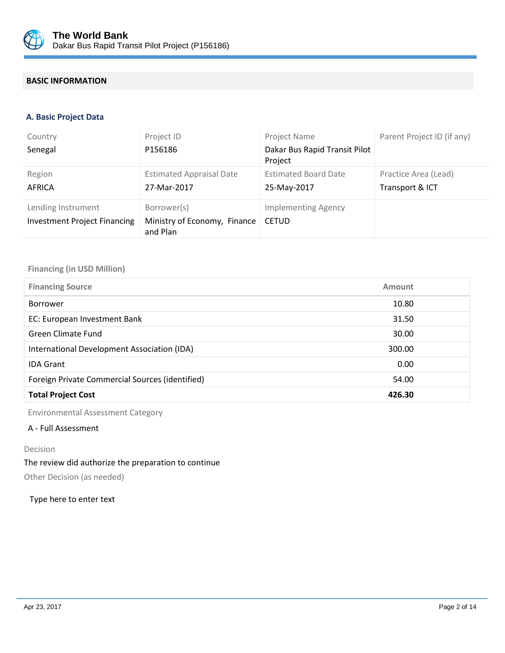

# **BASIC INFORMATION**

#### **A. Basic Project Data**

| Country<br>Senegal                                        | Project ID<br>P156186                                   | Project Name<br>Dakar Bus Rapid Transit Pilot<br>Project | Parent Project ID (if any)              |
|-----------------------------------------------------------|---------------------------------------------------------|----------------------------------------------------------|-----------------------------------------|
| Region<br><b>AFRICA</b>                                   | <b>Estimated Appraisal Date</b><br>27-Mar-2017          | <b>Estimated Board Date</b><br>25-May-2017               | Practice Area (Lead)<br>Transport & ICT |
| Lending Instrument<br><b>Investment Project Financing</b> | Borrower(s)<br>Ministry of Economy, Finance<br>and Plan | <b>Implementing Agency</b><br><b>CETUD</b>               |                                         |

#### **Financing (in USD Million)**

| <b>Financing Source</b><br>Amount                        |  |
|----------------------------------------------------------|--|
| 10.80<br><b>Borrower</b>                                 |  |
| EC: European Investment Bank<br>31.50                    |  |
| <b>Green Climate Fund</b><br>30.00                       |  |
| International Development Association (IDA)<br>300.00    |  |
| <b>IDA Grant</b><br>0.00                                 |  |
| Foreign Private Commercial Sources (identified)<br>54.00 |  |
| <b>Total Project Cost</b><br>426.30                      |  |

Environmental Assessment Category

# A - Full Assessment

#### Decision

#### The review did authorize the preparation to continue

Other Decision (as needed)

#### Type here to enter text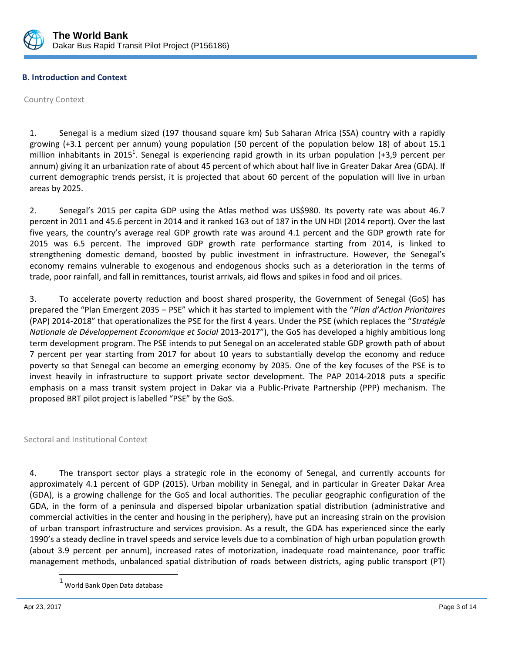

# **B. Introduction and Context**

Country Context

1. Senegal is a medium sized (197 thousand square km) Sub Saharan Africa (SSA) country with a rapidly growing (+3.1 percent per annum) young population (50 percent of the population below 18) of about 15.1 million inhabitants in 2015<sup>1</sup>. Senegal is experiencing rapid growth in its urban population (+3,9 percent per annum) giving it an urbanization rate of about 45 percent of which about half live in Greater Dakar Area (GDA). If current demographic trends persist, it is projected that about 60 percent of the population will live in urban areas by 2025.

2. Senegal's 2015 per capita GDP using the Atlas method was US\$980. Its poverty rate was about 46.7 percent in 2011 and 45.6 percent in 2014 and it ranked 163 out of 187 in the UN HDI (2014 report). Over the last five years, the country's average real GDP growth rate was around 4.1 percent and the GDP growth rate for 2015 was 6.5 percent. The improved GDP growth rate performance starting from 2014, is linked to strengthening domestic demand, boosted by public investment in infrastructure. However, the Senegal's economy remains vulnerable to exogenous and endogenous shocks such as a deterioration in the terms of trade, poor rainfall, and fall in remittances, tourist arrivals, aid flows and spikes in food and oil prices.

3. To accelerate poverty reduction and boost shared prosperity, the Government of Senegal (GoS) has prepared the "Plan Emergent 2035 – PSE" which it has started to implement with the "*Plan d'Action Prioritaires* (PAP) 2014-2018" that operationalizes the PSE for the first 4 years. Under the PSE (which replaces the "*Stratégie Nationale de Développement Economique et Social* 2013-2017"), the GoS has developed a highly ambitious long term development program. The PSE intends to put Senegal on an accelerated stable GDP growth path of about 7 percent per year starting from 2017 for about 10 years to substantially develop the economy and reduce poverty so that Senegal can become an emerging economy by 2035. One of the key focuses of the PSE is to invest heavily in infrastructure to support private sector development. The PAP 2014-2018 puts a specific emphasis on a mass transit system project in Dakar via a Public-Private Partnership (PPP) mechanism. The proposed BRT pilot project is labelled "PSE" by the GoS.

Sectoral and Institutional Context

4. The transport sector plays a strategic role in the economy of Senegal, and currently accounts for approximately 4.1 percent of GDP (2015). Urban mobility in Senegal, and in particular in Greater Dakar Area (GDA), is a growing challenge for the GoS and local authorities. The peculiar geographic configuration of the GDA, in the form of a peninsula and dispersed bipolar urbanization spatial distribution (administrative and commercial activities in the center and housing in the periphery), have put an increasing strain on the provision of urban transport infrastructure and services provision. As a result, the GDA has experienced since the early 1990's a steady decline in travel speeds and service levels due to a combination of high urban population growth (about 3.9 percent per annum), increased rates of motorization, inadequate road maintenance, poor traffic management methods, unbalanced spatial distribution of roads between districts, aging public transport (PT)

 $\overline{\phantom{a}}$ 

<sup>1</sup> World Bank Open Data database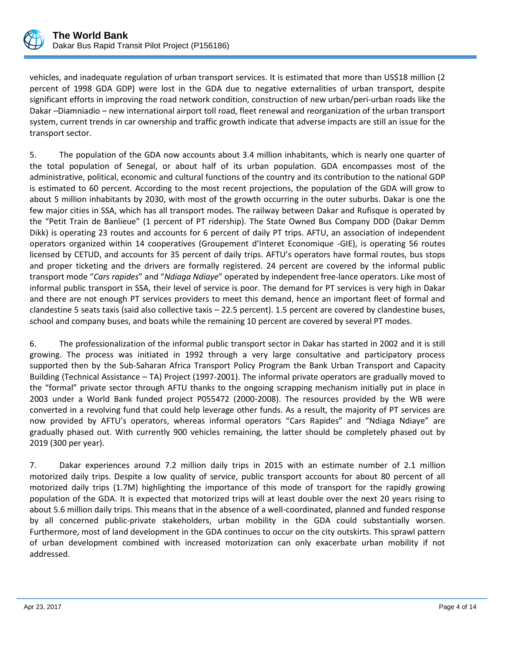

vehicles, and inadequate regulation of urban transport services. It is estimated that more than US\$18 million (2 percent of 1998 GDA GDP) were lost in the GDA due to negative externalities of urban transport, despite significant efforts in improving the road network condition, construction of new urban/peri-urban roads like the Dakar –Diamniadio – new international airport toll road, fleet renewal and reorganization of the urban transport system, current trends in car ownership and traffic growth indicate that adverse impacts are still an issue for the transport sector.

5. The population of the GDA now accounts about 3.4 million inhabitants, which is nearly one quarter of the total population of Senegal, or about half of its urban population. GDA encompasses most of the administrative, political, economic and cultural functions of the country and its contribution to the national GDP is estimated to 60 percent. According to the most recent projections, the population of the GDA will grow to about 5 million inhabitants by 2030, with most of the growth occurring in the outer suburbs. Dakar is one the few major cities in SSA, which has all transport modes. The railway between Dakar and Rufisque is operated by the "Petit Train de Banlieue" (1 percent of PT ridership). The State Owned Bus Company DDD (Dakar Demm Dikk) is operating 23 routes and accounts for 6 percent of daily PT trips. AFTU, an association of independent operators organized within 14 cooperatives (Groupement d'Interet Economique -GIE), is operating 56 routes licensed by CETUD, and accounts for 35 percent of daily trips. AFTU's operators have formal routes, bus stops and proper ticketing and the drivers are formally registered. 24 percent are covered by the informal public transport mode "*Cars rapides*" and "*Ndiaga Ndiaye*" operated by independent free-lance operators. Like most of informal public transport in SSA, their level of service is poor. The demand for PT services is very high in Dakar and there are not enough PT services providers to meet this demand, hence an important fleet of formal and clandestine 5 seats taxis (said also collective taxis – 22.5 percent). 1.5 percent are covered by clandestine buses, school and company buses, and boats while the remaining 10 percent are covered by several PT modes.

6. The professionalization of the informal public transport sector in Dakar has started in 2002 and it is still growing. The process was initiated in 1992 through a very large consultative and participatory process supported then by the Sub-Saharan Africa Transport Policy Program the Bank Urban Transport and Capacity Building (Technical Assistance – TA) Project (1997-2001). The informal private operators are gradually moved to the "formal" private sector through AFTU thanks to the ongoing scrapping mechanism initially put in place in 2003 under a World Bank funded project P055472 (2000-2008). The resources provided by the WB were converted in a revolving fund that could help leverage other funds. As a result, the majority of PT services are now provided by AFTU's operators, whereas informal operators "Cars Rapides" and "Ndiaga Ndiaye" are gradually phased out. With currently 900 vehicles remaining, the latter should be completely phased out by 2019 (300 per year).

7. Dakar experiences around 7.2 million daily trips in 2015 with an estimate number of 2.1 million motorized daily trips. Despite a low quality of service, public transport accounts for about 80 percent of all motorized daily trips (1.7M) highlighting the importance of this mode of transport for the rapidly growing population of the GDA. It is expected that motorized trips will at least double over the next 20 years rising to about 5.6 million daily trips. This means that in the absence of a well-coordinated, planned and funded response by all concerned public-private stakeholders, urban mobility in the GDA could substantially worsen. Furthermore, most of land development in the GDA continues to occur on the city outskirts. This sprawl pattern of urban development combined with increased motorization can only exacerbate urban mobility if not addressed.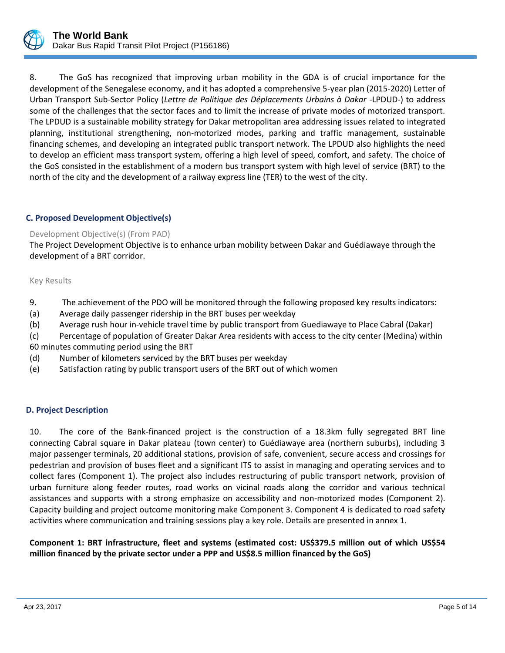

8. The GoS has recognized that improving urban mobility in the GDA is of crucial importance for the development of the Senegalese economy, and it has adopted a comprehensive 5-year plan (2015-2020) Letter of Urban Transport Sub-Sector Policy (*Lettre de Politique des Déplacements Urbains à Dakar -*LPDUD-) to address some of the challenges that the sector faces and to limit the increase of private modes of motorized transport. The LPDUD is a sustainable mobility strategy for Dakar metropolitan area addressing issues related to integrated planning, institutional strengthening, non-motorized modes, parking and traffic management, sustainable financing schemes, and developing an integrated public transport network. The LPDUD also highlights the need to develop an efficient mass transport system, offering a high level of speed, comfort, and safety. The choice of the GoS consisted in the establishment of a modern bus transport system with high level of service (BRT) to the north of the city and the development of a railway express line (TER) to the west of the city.

# **C. Proposed Development Objective(s)**

# Development Objective(s) (From PAD)

The Project Development Objective is to enhance urban mobility between Dakar and Guédiawaye through the development of a BRT corridor.

#### Key Results

- 9. The achievement of the PDO will be monitored through the following proposed key results indicators:
- (a) Average daily passenger ridership in the BRT buses per weekday
- (b) Average rush hour in-vehicle travel time by public transport from Guediawaye to Place Cabral (Dakar)
- (c) Percentage of population of Greater Dakar Area residents with access to the city center (Medina) within 60 minutes commuting period using the BRT
- (d) Number of kilometers serviced by the BRT buses per weekday
- (e) Satisfaction rating by public transport users of the BRT out of which women

# **D. Project Description**

10. The core of the Bank-financed project is the construction of a 18.3km fully segregated BRT line connecting Cabral square in Dakar plateau (town center) to Guédiawaye area (northern suburbs), including 3 major passenger terminals, 20 additional stations, provision of safe, convenient, secure access and crossings for pedestrian and provision of buses fleet and a significant ITS to assist in managing and operating services and to collect fares (Component 1). The project also includes restructuring of public transport network, provision of urban furniture along feeder routes, road works on vicinal roads along the corridor and various technical assistances and supports with a strong emphasize on accessibility and non-motorized modes (Component 2). Capacity building and project outcome monitoring make Component 3. Component 4 is dedicated to road safety activities where communication and training sessions play a key role. Details are presented in annex 1.

# **Component 1: BRT infrastructure, fleet and systems (estimated cost: US\$379.5 million out of which US\$54 million financed by the private sector under a PPP and US\$8.5 million financed by the GoS)**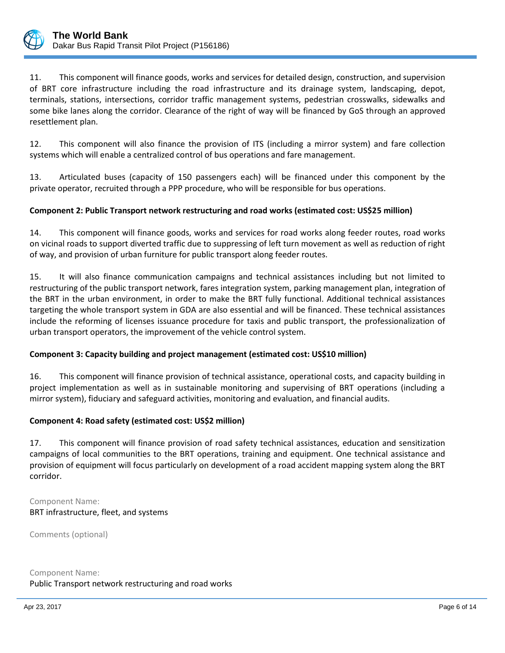

11. This component will finance goods, works and services for detailed design, construction, and supervision of BRT core infrastructure including the road infrastructure and its drainage system, landscaping, depot, terminals, stations, intersections, corridor traffic management systems, pedestrian crosswalks, sidewalks and some bike lanes along the corridor. Clearance of the right of way will be financed by GoS through an approved resettlement plan.

12. This component will also finance the provision of ITS (including a mirror system) and fare collection systems which will enable a centralized control of bus operations and fare management.

13. Articulated buses (capacity of 150 passengers each) will be financed under this component by the private operator, recruited through a PPP procedure, who will be responsible for bus operations.

# **Component 2: Public Transport network restructuring and road works (estimated cost: US\$25 million)**

14. This component will finance goods, works and services for road works along feeder routes, road works on vicinal roads to support diverted traffic due to suppressing of left turn movement as well as reduction of right of way, and provision of urban furniture for public transport along feeder routes.

15. It will also finance communication campaigns and technical assistances including but not limited to restructuring of the public transport network, fares integration system, parking management plan, integration of the BRT in the urban environment, in order to make the BRT fully functional. Additional technical assistances targeting the whole transport system in GDA are also essential and will be financed. These technical assistances include the reforming of licenses issuance procedure for taxis and public transport, the professionalization of urban transport operators, the improvement of the vehicle control system.

#### **Component 3: Capacity building and project management (estimated cost: US\$10 million)**

16. This component will finance provision of technical assistance, operational costs, and capacity building in project implementation as well as in sustainable monitoring and supervising of BRT operations (including a mirror system), fiduciary and safeguard activities, monitoring and evaluation, and financial audits.

#### **Component 4: Road safety (estimated cost: US\$2 million)**

17. This component will finance provision of road safety technical assistances, education and sensitization campaigns of local communities to the BRT operations, training and equipment. One technical assistance and provision of equipment will focus particularly on development of a road accident mapping system along the BRT corridor.

Component Name: BRT infrastructure, fleet, and systems

Comments (optional)

Component Name: Public Transport network restructuring and road works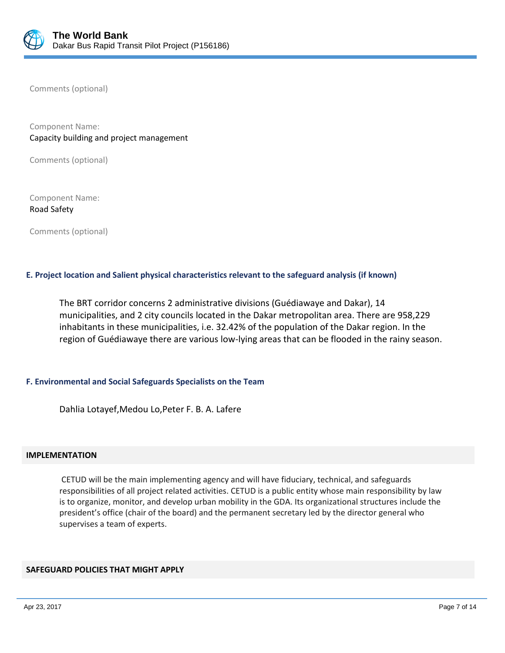

Comments (optional)

Component Name: Capacity building and project management

Comments (optional)

Component Name: Road Safety

Comments (optional)

# **E. Project location and Salient physical characteristics relevant to the safeguard analysis (if known)**

The BRT corridor concerns 2 administrative divisions (Guédiawaye and Dakar), 14 municipalities, and 2 city councils located in the Dakar metropolitan area. There are 958,229 inhabitants in these municipalities, i.e. 32.42% of the population of the Dakar region. In the region of Guédiawaye there are various low-lying areas that can be flooded in the rainy season.

# **F. Environmental and Social Safeguards Specialists on the Team**

Dahlia Lotayef,Medou Lo,Peter F. B. A. Lafere

#### **IMPLEMENTATION**

CETUD will be the main implementing agency and will have fiduciary, technical, and safeguards responsibilities of all project related activities. CETUD is a public entity whose main responsibility by law is to organize, monitor, and develop urban mobility in the GDA. Its organizational structures include the president's office (chair of the board) and the permanent secretary led by the director general who supervises a team of experts.

#### **SAFEGUARD POLICIES THAT MIGHT APPLY**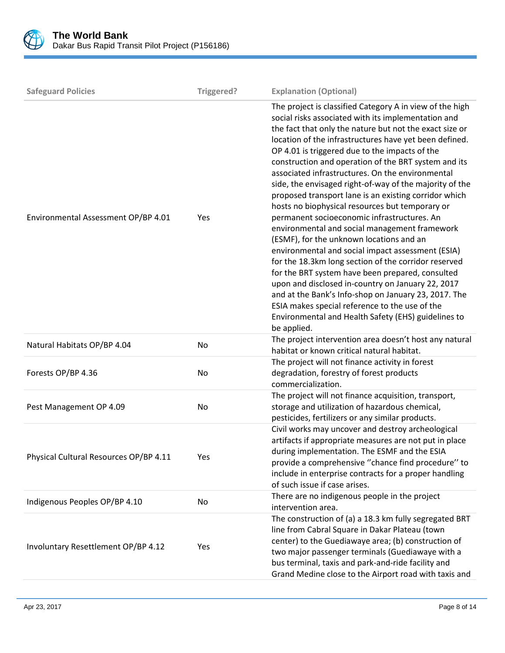

| <b>Safeguard Policies</b>              | Triggered? | <b>Explanation (Optional)</b>                                                                                                                                                                                                                                                                                                                                                                                                                                                                                                                                                                                                                                                                                                                                                                                                                                                                                                                                                                                                                                                                                               |
|----------------------------------------|------------|-----------------------------------------------------------------------------------------------------------------------------------------------------------------------------------------------------------------------------------------------------------------------------------------------------------------------------------------------------------------------------------------------------------------------------------------------------------------------------------------------------------------------------------------------------------------------------------------------------------------------------------------------------------------------------------------------------------------------------------------------------------------------------------------------------------------------------------------------------------------------------------------------------------------------------------------------------------------------------------------------------------------------------------------------------------------------------------------------------------------------------|
| Environmental Assessment OP/BP 4.01    | Yes        | The project is classified Category A in view of the high<br>social risks associated with its implementation and<br>the fact that only the nature but not the exact size or<br>location of the infrastructures have yet been defined.<br>OP 4.01 is triggered due to the impacts of the<br>construction and operation of the BRT system and its<br>associated infrastructures. On the environmental<br>side, the envisaged right-of-way of the majority of the<br>proposed transport lane is an existing corridor which<br>hosts no biophysical resources but temporary or<br>permanent socioeconomic infrastructures. An<br>environmental and social management framework<br>(ESMF), for the unknown locations and an<br>environmental and social impact assessment (ESIA)<br>for the 18.3km long section of the corridor reserved<br>for the BRT system have been prepared, consulted<br>upon and disclosed in-country on January 22, 2017<br>and at the Bank's Info-shop on January 23, 2017. The<br>ESIA makes special reference to the use of the<br>Environmental and Health Safety (EHS) guidelines to<br>be applied. |
| Natural Habitats OP/BP 4.04            | No         | The project intervention area doesn't host any natural<br>habitat or known critical natural habitat.                                                                                                                                                                                                                                                                                                                                                                                                                                                                                                                                                                                                                                                                                                                                                                                                                                                                                                                                                                                                                        |
| Forests OP/BP 4.36                     | No         | The project will not finance activity in forest<br>degradation, forestry of forest products<br>commercialization.                                                                                                                                                                                                                                                                                                                                                                                                                                                                                                                                                                                                                                                                                                                                                                                                                                                                                                                                                                                                           |
| Pest Management OP 4.09                | No         | The project will not finance acquisition, transport,<br>storage and utilization of hazardous chemical,<br>pesticides, fertilizers or any similar products.                                                                                                                                                                                                                                                                                                                                                                                                                                                                                                                                                                                                                                                                                                                                                                                                                                                                                                                                                                  |
| Physical Cultural Resources OP/BP 4.11 | Yes        | Civil works may uncover and destroy archeological<br>artifacts if appropriate measures are not put in place<br>during implementation. The ESMF and the ESIA<br>provide a comprehensive "chance find procedure" to<br>include in enterprise contracts for a proper handling<br>of such issue if case arises.                                                                                                                                                                                                                                                                                                                                                                                                                                                                                                                                                                                                                                                                                                                                                                                                                 |
| Indigenous Peoples OP/BP 4.10          | No         | There are no indigenous people in the project<br>intervention area.                                                                                                                                                                                                                                                                                                                                                                                                                                                                                                                                                                                                                                                                                                                                                                                                                                                                                                                                                                                                                                                         |
| Involuntary Resettlement OP/BP 4.12    | Yes        | The construction of (a) a 18.3 km fully segregated BRT<br>line from Cabral Square in Dakar Plateau (town<br>center) to the Guediawaye area; (b) construction of<br>two major passenger terminals (Guediawaye with a<br>bus terminal, taxis and park-and-ride facility and<br>Grand Medine close to the Airport road with taxis and                                                                                                                                                                                                                                                                                                                                                                                                                                                                                                                                                                                                                                                                                                                                                                                          |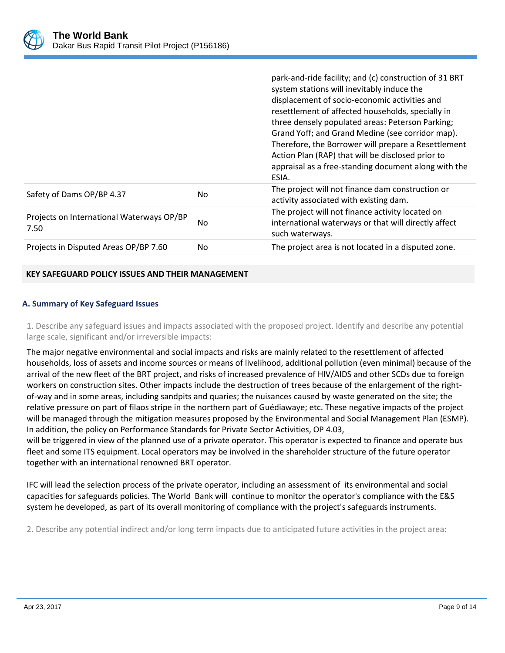

|                                                   |     | park-and-ride facility; and (c) construction of 31 BRT<br>system stations will inevitably induce the<br>displacement of socio-economic activities and<br>resettlement of affected households, specially in<br>three densely populated areas: Peterson Parking;<br>Grand Yoff; and Grand Medine (see corridor map).<br>Therefore, the Borrower will prepare a Resettlement<br>Action Plan (RAP) that will be disclosed prior to<br>appraisal as a free-standing document along with the<br>ESIA. |
|---------------------------------------------------|-----|-------------------------------------------------------------------------------------------------------------------------------------------------------------------------------------------------------------------------------------------------------------------------------------------------------------------------------------------------------------------------------------------------------------------------------------------------------------------------------------------------|
| Safety of Dams OP/BP 4.37                         | No. | The project will not finance dam construction or<br>activity associated with existing dam.                                                                                                                                                                                                                                                                                                                                                                                                      |
| Projects on International Waterways OP/BP<br>7.50 | No  | The project will not finance activity located on<br>international waterways or that will directly affect<br>such waterways.                                                                                                                                                                                                                                                                                                                                                                     |
| Projects in Disputed Areas OP/BP 7.60             | No. | The project area is not located in a disputed zone.                                                                                                                                                                                                                                                                                                                                                                                                                                             |

# **KEY SAFEGUARD POLICY ISSUES AND THEIR MANAGEMENT**

# **A. Summary of Key Safeguard Issues**

1. Describe any safeguard issues and impacts associated with the proposed project. Identify and describe any potential large scale, significant and/or irreversible impacts:

The major negative environmental and social impacts and risks are mainly related to the resettlement of affected households, loss of assets and income sources or means of livelihood, additional pollution (even minimal) because of the arrival of the new fleet of the BRT project, and risks of increased prevalence of HIV/AIDS and other SCDs due to foreign workers on construction sites. Other impacts include the destruction of trees because of the enlargement of the rightof-way and in some areas, including sandpits and quaries; the nuisances caused by waste generated on the site; the relative pressure on part of filaos stripe in the northern part of Guédiawaye; etc. These negative impacts of the project will be managed through the mitigation measures proposed by the Environmental and Social Management Plan (ESMP). In addition, the policy on Performance Standards for Private Sector Activities, OP 4.03,

will be triggered in view of the planned use of a private operator. This operator is expected to finance and operate bus fleet and some ITS equipment. Local operators may be involved in the shareholder structure of the future operator together with an international renowned BRT operator.

IFC will lead the selection process of the private operator, including an assessment of its environmental and social capacities for safeguards policies. The World Bank will continue to monitor the operator's compliance with the E&S system he developed, as part of its overall monitoring of compliance with the project's safeguards instruments.

2. Describe any potential indirect and/or long term impacts due to anticipated future activities in the project area: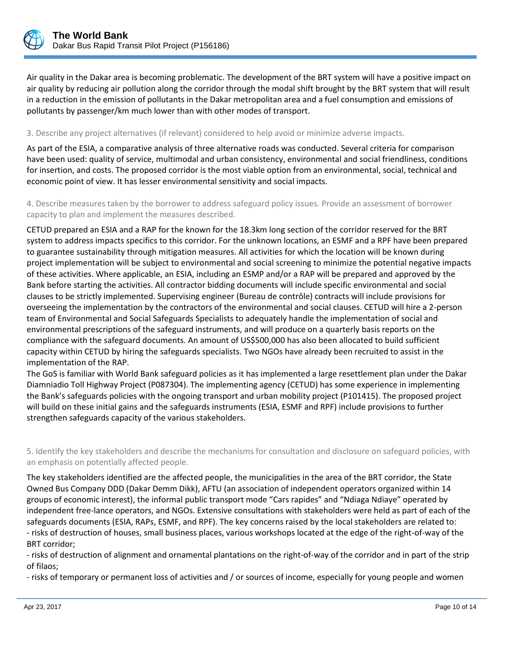

Air quality in the Dakar area is becoming problematic. The development of the BRT system will have a positive impact on air quality by reducing air pollution along the corridor through the modal shift brought by the BRT system that will result in a reduction in the emission of pollutants in the Dakar metropolitan area and a fuel consumption and emissions of pollutants by passenger/km much lower than with other modes of transport.

#### 3. Describe any project alternatives (if relevant) considered to help avoid or minimize adverse impacts.

As part of the ESIA, a comparative analysis of three alternative roads was conducted. Several criteria for comparison have been used: quality of service, multimodal and urban consistency, environmental and social friendliness, conditions for insertion, and costs. The proposed corridor is the most viable option from an environmental, social, technical and economic point of view. It has lesser environmental sensitivity and social impacts.

4. Describe measures taken by the borrower to address safeguard policy issues. Provide an assessment of borrower capacity to plan and implement the measures described.

CETUD prepared an ESIA and a RAP for the known for the 18.3km long section of the corridor reserved for the BRT system to address impacts specifics to this corridor. For the unknown locations, an ESMF and a RPF have been prepared to guarantee sustainability through mitigation measures. All activities for which the location will be known during project implementation will be subject to environmental and social screening to minimize the potential negative impacts of these activities. Where applicable, an ESIA, including an ESMP and/or a RAP will be prepared and approved by the Bank before starting the activities. All contractor bidding documents will include specific environmental and social clauses to be strictly implemented. Supervising engineer (Bureau de contrôle) contracts will include provisions for overseeing the implementation by the contractors of the environmental and social clauses. CETUD will hire a 2-person team of Environmental and Social Safeguards Specialists to adequately handle the implementation of social and environmental prescriptions of the safeguard instruments, and will produce on a quarterly basis reports on the compliance with the safeguard documents. An amount of US\$500,000 has also been allocated to build sufficient capacity within CETUD by hiring the safeguards specialists. Two NGOs have already been recruited to assist in the implementation of the RAP.

The GoS is familiar with World Bank safeguard policies as it has implemented a large resettlement plan under the Dakar Diamniadio Toll Highway Project (P087304). The implementing agency (CETUD) has some experience in implementing the Bank's safeguards policies with the ongoing transport and urban mobility project (P101415). The proposed project will build on these initial gains and the safeguards instruments (ESIA, ESMF and RPF) include provisions to further strengthen safeguards capacity of the various stakeholders.

5. Identify the key stakeholders and describe the mechanisms for consultation and disclosure on safeguard policies, with an emphasis on potentially affected people.

The key stakeholders identified are the affected people, the municipalities in the area of the BRT corridor, the State Owned Bus Company DDD (Dakar Demm Dikk), AFTU (an association of independent operators organized within 14 groups of economic interest), the informal public transport mode "Cars rapides" and "Ndiaga Ndiaye" operated by independent free-lance operators, and NGOs. Extensive consultations with stakeholders were held as part of each of the safeguards documents (ESIA, RAPs, ESMF, and RPF). The key concerns raised by the local stakeholders are related to: - risks of destruction of houses, small business places, various workshops located at the edge of the right-of-way of the BRT corridor;

- risks of destruction of alignment and ornamental plantations on the right-of-way of the corridor and in part of the strip of filaos;

- risks of temporary or permanent loss of activities and / or sources of income, especially for young people and women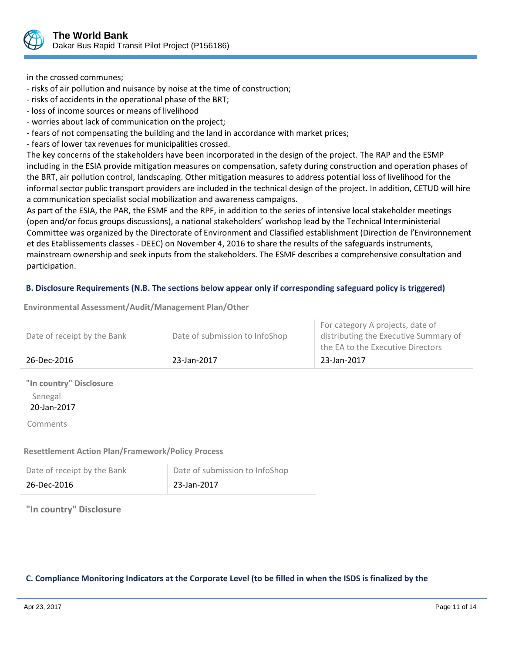

in the crossed communes;

- risks of air pollution and nuisance by noise at the time of construction;
- risks of accidents in the operational phase of the BRT;
- loss of income sources or means of livelihood
- worries about lack of communication on the project;
- fears of not compensating the building and the land in accordance with market prices;
- fears of lower tax revenues for municipalities crossed.

The key concerns of the stakeholders have been incorporated in the design of the project. The RAP and the ESMP including in the ESIA provide mitigation measures on compensation, safety during construction and operation phases of the BRT, air pollution control, landscaping. Other mitigation measures to address potential loss of livelihood for the informal sector public transport providers are included in the technical design of the project. In addition, CETUD will hire a communication specialist social mobilization and awareness campaigns.

As part of the ESIA, the PAR, the ESMF and the RPF, in addition to the series of intensive local stakeholder meetings (open and/or focus groups discussions), a national stakeholders' workshop lead by the Technical Interministerial Committee was organized by the Directorate of Environment and Classified establishment (Direction de l'Environnement et des Etablissements classes - DEEC) on November 4, 2016 to share the results of the safeguards instruments, mainstream ownership and seek inputs from the stakeholders. The ESMF describes a comprehensive consultation and participation.

# **B. Disclosure Requirements (N.B. The sections below appear only if corresponding safeguard policy is triggered)**

**Environmental Assessment/Audit/Management Plan/Other**

| Date of receipt by the Bank        | Date of submission to InfoShop | For category A projects, date of<br>distributing the Executive Summary of<br>the EA to the Executive Directors |
|------------------------------------|--------------------------------|----------------------------------------------------------------------------------------------------------------|
| 26-Dec-2016                        | 23-Jan-2017                    | 23-Jan-2017                                                                                                    |
| "In country" Disclosure<br>Senegal |                                |                                                                                                                |

20-Jan-2017

Comments

# **Resettlement Action Plan/Framework/Policy Process**

| Date of receipt by the Bank | Date of submission to InfoShop |
|-----------------------------|--------------------------------|
| 26-Dec-2016                 | 23-Jan-2017                    |

# **"In country" Disclosure**

# **C. Compliance Monitoring Indicators at the Corporate Level (to be filled in when the ISDS is finalized by the**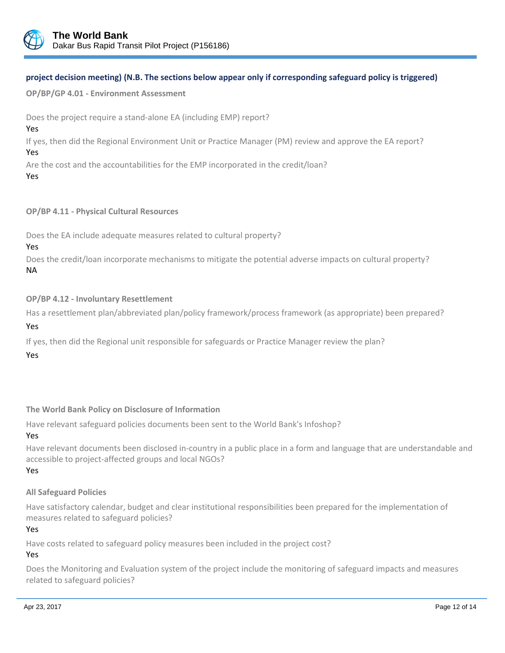

# **project decision meeting) (N.B. The sections below appear only if corresponding safeguard policy is triggered)**

**OP/BP/GP 4.01 - Environment Assessment**

Does the project require a stand-alone EA (including EMP) report?

#### Yes

If yes, then did the Regional Environment Unit or Practice Manager (PM) review and approve the EA report? Yes

Are the cost and the accountabilities for the EMP incorporated in the credit/loan?

#### Yes

# **OP/BP 4.11 - Physical Cultural Resources**

Does the EA include adequate measures related to cultural property?

# Yes

Does the credit/loan incorporate mechanisms to mitigate the potential adverse impacts on cultural property? NA

# **OP/BP 4.12 - Involuntary Resettlement**

Has a resettlement plan/abbreviated plan/policy framework/process framework (as appropriate) been prepared?

# Yes

If yes, then did the Regional unit responsible for safeguards or Practice Manager review the plan?

# Yes

# **The World Bank Policy on Disclosure of Information**

Have relevant safeguard policies documents been sent to the World Bank's Infoshop?

# Yes

Have relevant documents been disclosed in-country in a public place in a form and language that are understandable and accessible to project-affected groups and local NGOs?

# Yes

# **All Safeguard Policies**

Have satisfactory calendar, budget and clear institutional responsibilities been prepared for the implementation of measures related to safeguard policies?

# Yes

Have costs related to safeguard policy measures been included in the project cost?

# Yes

Does the Monitoring and Evaluation system of the project include the monitoring of safeguard impacts and measures related to safeguard policies?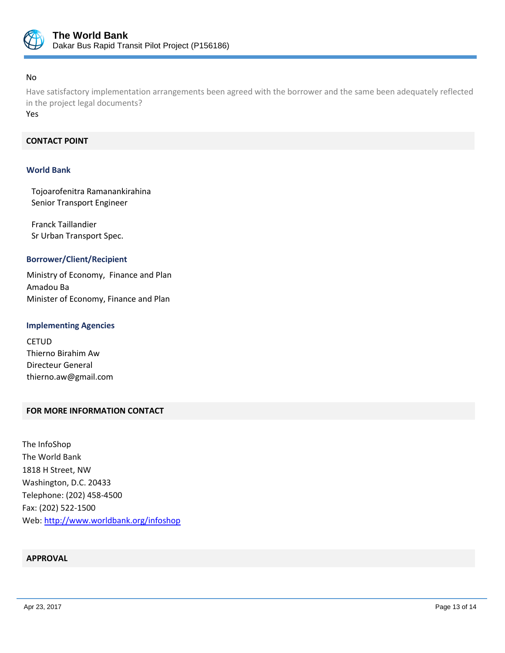

# No

Have satisfactory implementation arrangements been agreed with the borrower and the same been adequately reflected in the project legal documents?

Yes

# **CONTACT POINT**

#### **World Bank**

Tojoarofenitra Ramanankirahina Senior Transport Engineer

Franck Taillandier Sr Urban Transport Spec.

#### **Borrower/Client/Recipient**

Ministry of Economy, Finance and Plan Amadou Ba Minister of Economy, Finance and Plan

#### **Implementing Agencies**

**CETUD** Thierno Birahim Aw Directeur General thierno.aw@gmail.com

# **FOR MORE INFORMATION CONTACT**

The InfoShop The World Bank 1818 H Street, NW Washington, D.C. 20433 Telephone: (202) 458-4500 Fax: (202) 522-1500 Web[: http://www.worldbank.org/infoshop](http://www.worldbank.org/infoshop)

# **APPROVAL**